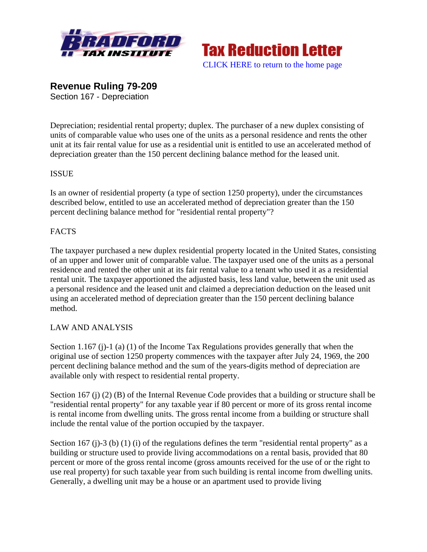



**Revenue Ruling 79-209**  Section 167 - Depreciation

Depreciation; residential rental property; duplex. The purchaser of a new duplex consisting of units of comparable value who uses one of the units as a personal residence and rents the other unit at its fair rental value for use as a residential unit is entitled to use an accelerated method of depreciation greater than the 150 percent declining balance method for the leased unit.

## **ISSUE**

Is an owner of residential property (a type of section 1250 property), under the circumstances described below, entitled to use an accelerated method of depreciation greater than the 150 percent declining balance method for "residential rental property"?

## **FACTS**

The taxpayer purchased a new duplex residential property located in the United States, consisting of an upper and lower unit of comparable value. The taxpayer used one of the units as a personal residence and rented the other unit at its fair rental value to a tenant who used it as a residential rental unit. The taxpayer apportioned the adjusted basis, less land value, between the unit used as a personal residence and the leased unit and claimed a depreciation deduction on the leased unit using an accelerated method of depreciation greater than the 150 percent declining balance method.

## LAW AND ANALYSIS

Section 1.167 (j)-1 (a) (1) of the Income Tax Regulations provides generally that when the original use of section 1250 property commences with the taxpayer after July 24, 1969, the 200 percent declining balance method and the sum of the years-digits method of depreciation are available only with respect to residential rental property.

Section 167 (j) (2) (B) of the Internal Revenue Code provides that a building or structure shall be "residential rental property" for any taxable year if 80 percent or more of its gross rental income is rental income from dwelling units. The gross rental income from a building or structure shall include the rental value of the portion occupied by the taxpayer.

Section 167 (j)-3 (b) (1) (i) of the regulations defines the term "residential rental property" as a building or structure used to provide living accommodations on a rental basis, provided that 80 percent or more of the gross rental income (gross amounts received for the use of or the right to use real property) for such taxable year from such building is rental income from dwelling units. Generally, a dwelling unit may be a house or an apartment used to provide living